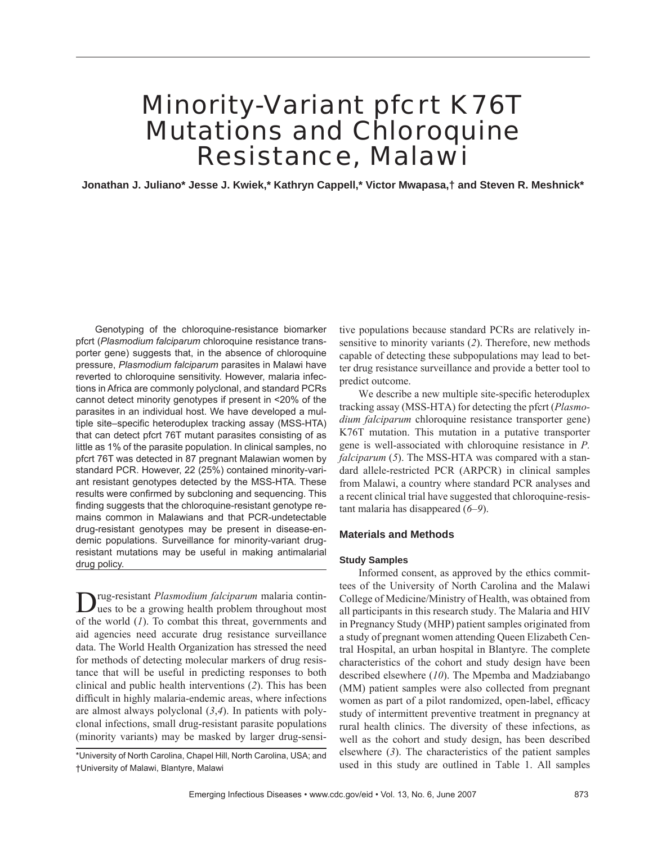## Minority-Variant pfcrt K76T Mutations and Chloroquine Resistance, Malawi

**Jonathan J. Juliano\* Jesse J. Kwiek,\* Kathryn Cappell,\* Victor Mwapasa,† and Steven R. Meshnick\***

Genotyping of the chloroquine-resistance biomarker pfcrt (*Plasmodium falciparum* chloroquine resistance transporter gene) suggests that, in the absence of chloroquine pressure, *Plasmodium falciparum* parasites in Malawi have reverted to chloroquine sensitivity. However, malaria infections in Africa are commonly polyclonal, and standard PCRs cannot detect minority genotypes if present in <20% of the parasites in an individual host. We have developed a multiple site–specific heteroduplex tracking assay (MSS-HTA) that can detect pfcrt 76T mutant parasites consisting of as little as 1% of the parasite population. In clinical samples, no pfcrt 76T was detected in 87 pregnant Malawian women by standard PCR. However, 22 (25%) contained minority-variant resistant genotypes detected by the MSS-HTA. These results were confirmed by subcloning and sequencing. This finding suggests that the chloroquine-resistant genotype remains common in Malawians and that PCR-undetectable drug-resistant genotypes may be present in disease-endemic populations. Surveillance for minority-variant drugresistant mutations may be useful in making antimalarial drug policy.

Drug-resistant *Plasmodium falciparum* malaria contin-ues to be a growing health problem throughout most of the world (*1*). To combat this threat, governments and aid agencies need accurate drug resistance surveillance data. The World Health Organization has stressed the need for methods of detecting molecular markers of drug resistance that will be useful in predicting responses to both clinical and public health interventions (*2*). This has been difficult in highly malaria-endemic areas, where infections are almost always polyclonal (*3*,*4*). In patients with polyclonal infections, small drug-resistant parasite populations (minority variants) may be masked by larger drug-sensi-

\*University of North Carolina, Chapel Hill, North Carolina, USA; and †University of Malawi, Blantyre, Malawi

tive populations because standard PCRs are relatively insensitive to minority variants (*2*). Therefore, new methods capable of detecting these subpopulations may lead to better drug resistance surveillance and provide a better tool to predict outcome.

We describe a new multiple site-specific heteroduplex tracking assay (MSS-HTA) for detecting the pfcrt (*Plasmodium falciparum* chloroquine resistance transporter gene) K76T mutation. This mutation in a putative transporter gene is well-associated with chloroquine resistance in *P. falciparum* (*5*). The MSS-HTA was compared with a standard allele-restricted PCR (ARPCR) in clinical samples from Malawi, a country where standard PCR analyses and a recent clinical trial have suggested that chloroquine-resistant malaria has disappeared (*6*–*9*).

#### **Materials and Methods**

#### **Study Samples**

Informed consent, as approved by the ethics committees of the University of North Carolina and the Malawi College of Medicine/Ministry of Health, was obtained from all participants in this research study. The Malaria and HIV in Pregnancy Study (MHP) patient samples originated from a study of pregnant women attending Queen Elizabeth Central Hospital, an urban hospital in Blantyre. The complete characteristics of the cohort and study design have been described elsewhere (*10*). The Mpemba and Madziabango (MM) patient samples were also collected from pregnant women as part of a pilot randomized, open-label, efficacy study of intermittent preventive treatment in pregnancy at rural health clinics. The diversity of these infections, as well as the cohort and study design, has been described elsewhere (*3*). The characteristics of the patient samples used in this study are outlined in Table 1. All samples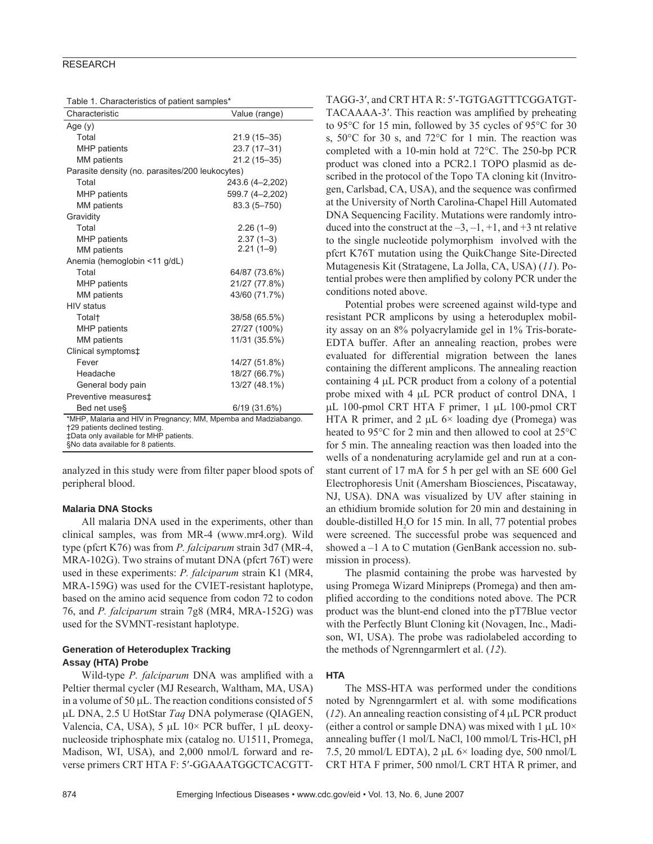#### **RESEARCH**

| Characteristic                                                           | Value (range)   |  |  |  |
|--------------------------------------------------------------------------|-----------------|--|--|--|
| Age $(y)$                                                                |                 |  |  |  |
| Total                                                                    | 21.9 (15-35)    |  |  |  |
| <b>MHP</b> patients                                                      | 23.7 (17-31)    |  |  |  |
| MM patients                                                              | 21.2 (15-35)    |  |  |  |
| Parasite density (no. parasites/200 leukocytes)                          |                 |  |  |  |
| Total                                                                    | 243.6 (4-2,202) |  |  |  |
| <b>MHP</b> patients                                                      | 599.7 (4-2,202) |  |  |  |
| <b>MM</b> patients                                                       | 83.3 (5-750)    |  |  |  |
| Gravidity                                                                |                 |  |  |  |
| Total                                                                    | $2.26(1-9)$     |  |  |  |
| MHP patients                                                             | $2.37(1-3)$     |  |  |  |
| <b>MM</b> patients                                                       | $2.21(1-9)$     |  |  |  |
| Anemia (hemoglobin <11 g/dL)                                             |                 |  |  |  |
| Total                                                                    | 64/87 (73.6%)   |  |  |  |
| <b>MHP</b> patients                                                      | 21/27 (77.8%)   |  |  |  |
| <b>MM</b> patients                                                       | 43/60 (71.7%)   |  |  |  |
| <b>HIV</b> status                                                        |                 |  |  |  |
| Total <sup>+</sup>                                                       | 38/58 (65.5%)   |  |  |  |
| <b>MHP</b> patients                                                      | 27/27 (100%)    |  |  |  |
| MM patients                                                              | 11/31 (35.5%)   |  |  |  |
| Clinical symptoms‡                                                       |                 |  |  |  |
| Fever                                                                    | 14/27 (51.8%)   |  |  |  |
| Headache                                                                 | 18/27 (66.7%)   |  |  |  |
| General body pain                                                        | 13/27 (48.1%)   |  |  |  |
| Preventive measures‡                                                     |                 |  |  |  |
| Bed net use§                                                             | 6/19 (31.6%)    |  |  |  |
| *MHP, Malaria and HIV in Pregnancy; MM, Mpemba and Madziabango.          |                 |  |  |  |
| +29 patients declined testing.<br>±Data only available for MHP patients. |                 |  |  |  |
| §No data available for 8 patients.                                       |                 |  |  |  |

analyzed in this study were from filter paper blood spots of peripheral blood.

#### **Malaria DNA Stocks**

All malaria DNA used in the experiments, other than clinical samples, was from MR-4 (www.mr4.org). Wild type (pfcrt K76) was from *P. falciparum* strain 3d7 (MR-4, MRA-102G). Two strains of mutant DNA (pfcrt 76T) were used in these experiments: *P. falciparum* strain K1 (MR4, MRA-159G) was used for the CVIET-resistant haplotype, based on the amino acid sequence from codon 72 to codon 76, and *P. falciparum* strain 7g8 (MR4, MRA-152G) was used for the SVMNT-resistant haplotype.

#### **Generation of Heteroduplex Tracking Assay (HTA) Probe**

Wild-type *P. falciparum* DNA was amplified with a Peltier thermal cycler (MJ Research, Waltham, MA, USA) in a volume of 50 μL. The reaction conditions consisted of 5 μL DNA, 2.5 U HotStar *Taq* DNA polymerase (QIAGEN, Valencia, CA, USA), 5 μL 10× PCR buffer, 1 μL deoxynucleoside triphosphate mix (catalog no. U1511, Promega, Madison, WI, USA), and 2,000 nmol/L forward and reverse primers CRT HTA F: 5′-GGAAATGGCTCACGTT- TAGG-3′, and CRT HTA R: 5′-TGTGAGTTTCGGATGT-

TACAAAA-3'. This reaction was amplified by preheating to 95°C for 15 min, followed by 35 cycles of 95°C for 30 s, 50°C for 30 s, and 72°C for 1 min. The reaction was completed with a 10-min hold at 72°C. The 250-bp PCR product was cloned into a PCR2.1 TOPO plasmid as described in the protocol of the Topo TA cloning kit (Invitrogen, Carlsbad, CA, USA), and the sequence was confirmed at the University of North Carolina-Chapel Hill Automated DNA Sequencing Facility. Mutations were randomly introduced into the construct at the  $-3$ ,  $-1$ ,  $+1$ , and  $+3$  nt relative to the single nucleotide polymorphism involved with the pfcrt K76T mutation using the QuikChange Site-Directed Mutagenesis Kit (Stratagene, La Jolla, CA, USA) (*11*). Potential probes were then amplified by colony PCR under the conditions noted above.

Potential probes were screened against wild-type and resistant PCR amplicons by using a heteroduplex mobility assay on an 8% polyacrylamide gel in 1% Tris-borate-EDTA buffer. After an annealing reaction, probes were evaluated for differential migration between the lanes containing the different amplicons. The annealing reaction containing 4 μL PCR product from a colony of a potential probe mixed with 4 μL PCR product of control DNA, 1 μL 100-pmol CRT HTA F primer, 1 μL 100-pmol CRT HTA R primer, and 2  $\mu$ L 6× loading dye (Promega) was heated to 95°C for 2 min and then allowed to cool at 25°C for 5 min. The annealing reaction was then loaded into the wells of a nondenaturing acrylamide gel and run at a constant current of 17 mA for 5 h per gel with an SE 600 Gel Electrophoresis Unit (Amersham Biosciences, Piscataway, NJ, USA). DNA was visualized by UV after staining in an ethidium bromide solution for 20 min and destaining in double-distilled  $H_2O$  for 15 min. In all, 77 potential probes were screened. The successful probe was sequenced and showed a –1 A to C mutation (GenBank accession no. submission in process).

The plasmid containing the probe was harvested by using Promega Wizard Minipreps (Promega) and then amplified according to the conditions noted above. The PCR product was the blunt-end cloned into the pT7Blue vector with the Perfectly Blunt Cloning kit (Novagen, Inc., Madison, WI, USA). The probe was radiolabeled according to the methods of Ngrenngarmlert et al. (*12*).

#### **HTA**

The MSS-HTA was performed under the conditions noted by Ngrenngarmlert et al. with some modifications (*12*). An annealing reaction consisting of 4 μL PCR product (either a control or sample DNA) was mixed with 1  $\mu$ L 10 $\times$ annealing buffer (1 mol/L NaCl, 100 mmol/L Tris-HCl, pH 7.5, 20 mmol/L EDTA), 2  $\mu$ L 6× loading dye, 500 nmol/L CRT HTA F primer, 500 nmol/L CRT HTA R primer, and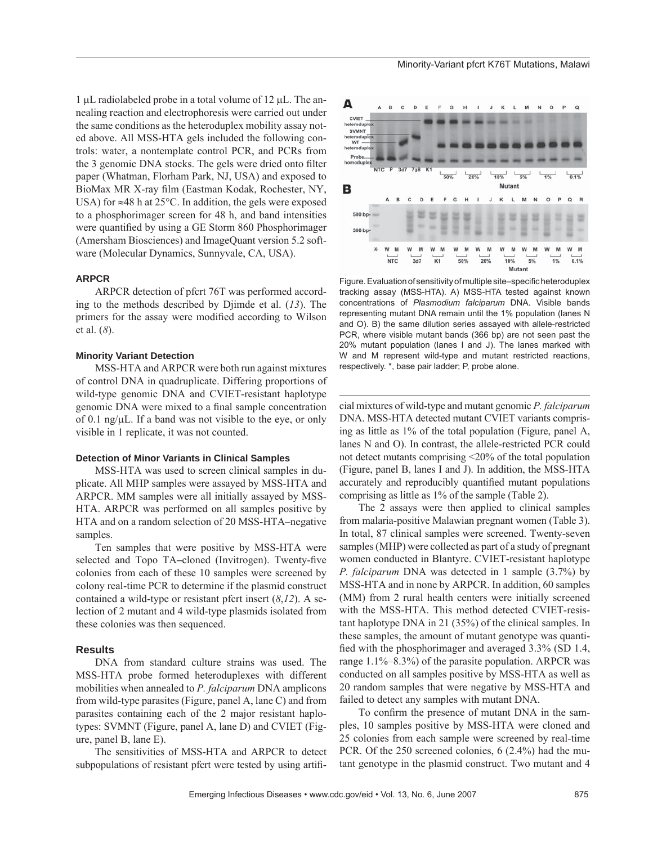1 μL radiolabeled probe in a total volume of 12 μL. The annealing reaction and electrophoresis were carried out under the same conditions as the heteroduplex mobility assay noted above. All MSS-HTA gels included the following controls: water, a nontemplate control PCR, and PCRs from the 3 genomic DNA stocks. The gels were dried onto filter paper (Whatman, Florham Park, NJ, USA) and exposed to BioMax MR X-ray film (Eastman Kodak, Rochester, NY, USA) for  $\approx$ 48 h at 25 $\degree$ C. In addition, the gels were exposed to a phosphorimager screen for 48 h, and band intensities were quantified by using a GE Storm 860 Phosphorimager (Amersham Biosciences) and ImageQuant version 5.2 software (Molecular Dynamics, Sunnyvale, CA, USA).

#### **ARPCR**

ARPCR detection of pfcrt 76T was performed according to the methods described by Djimde et al. (*13*). The primers for the assay were modified according to Wilson et al. (*8*).

#### **Minority Variant Detection**

MSS-HTA and ARPCR were both run against mixtures of control DNA in quadruplicate. Differing proportions of wild-type genomic DNA and CVIET-resistant haplotype genomic DNA were mixed to a final sample concentration of 0.1 ng/μL. If a band was not visible to the eye, or only visible in 1 replicate, it was not counted.

#### **Detection of Minor Variants in Clinical Samples**

MSS-HTA was used to screen clinical samples in duplicate. All MHP samples were assayed by MSS-HTA and ARPCR. MM samples were all initially assayed by MSS-HTA. ARPCR was performed on all samples positive by HTA and on a random selection of 20 MSS-HTA–negative samples.

Ten samples that were positive by MSS-HTA were selected and Topo TA–cloned (Invitrogen). Twenty-five colonies from each of these 10 samples were screened by colony real-time PCR to determine if the plasmid construct contained a wild-type or resistant pfcrt insert (*8*,*12*). A selection of 2 mutant and 4 wild-type plasmids isolated from these colonies was then sequenced.

#### **Results**

DNA from standard culture strains was used. The MSS-HTA probe formed heteroduplexes with different mobilities when annealed to *P. falciparum* DNA amplicons from wild-type parasites (Figure, panel A, lane C) and from parasites containing each of the 2 major resistant haplotypes: SVMNT (Figure, panel A, lane D) and CVIET (Figure, panel B, lane E).

The sensitivities of MSS-HTA and ARPCR to detect subpopulations of resistant pfcrt were tested by using artifi-



Figure. Evaluation of sensitivity of multiple site–specific heteroduplex tracking assay (MSS-HTA). A) MSS-HTA tested against known concentrations of *Plasmodium falciparum* DNA. Visible bands representing mutant DNA remain until the 1% population (lanes N and O). B) the same dilution series assayed with allele-restricted PCR, where visible mutant bands (366 bp) are not seen past the 20% mutant population (lanes I and J). The lanes marked with W and M represent wild-type and mutant restricted reactions, respectively. \*, base pair ladder; P, probe alone.

cial mixtures of wild-type and mutant genomic *P. falciparum* DNA. MSS-HTA detected mutant CVIET variants comprising as little as 1% of the total population (Figure, panel A, lanes N and O). In contrast, the allele-restricted PCR could not detect mutants comprising <20% of the total population (Figure, panel B, lanes I and J). In addition, the MSS-HTA accurately and reproducibly quantified mutant populations comprising as little as 1% of the sample (Table 2).

The 2 assays were then applied to clinical samples from malaria-positive Malawian pregnant women (Table 3). In total, 87 clinical samples were screened. Twenty-seven samples (MHP) were collected as part of a study of pregnant women conducted in Blantyre. CVIET-resistant haplotype *P. falciparum* DNA was detected in 1 sample (3.7%) by MSS-HTA and in none by ARPCR. In addition, 60 samples (MM) from 2 rural health centers were initially screened with the MSS-HTA. This method detected CVIET-resistant haplotype DNA in 21 (35%) of the clinical samples. In these samples, the amount of mutant genotype was quantified with the phosphorimager and averaged  $3.3\%$  (SD 1.4, range 1.1%–8.3%) of the parasite population. ARPCR was conducted on all samples positive by MSS-HTA as well as 20 random samples that were negative by MSS-HTA and failed to detect any samples with mutant DNA.

To confirm the presence of mutant DNA in the samples, 10 samples positive by MSS-HTA were cloned and 25 colonies from each sample were screened by real-time PCR. Of the 250 screened colonies, 6 (2.4%) had the mutant genotype in the plasmid construct. Two mutant and 4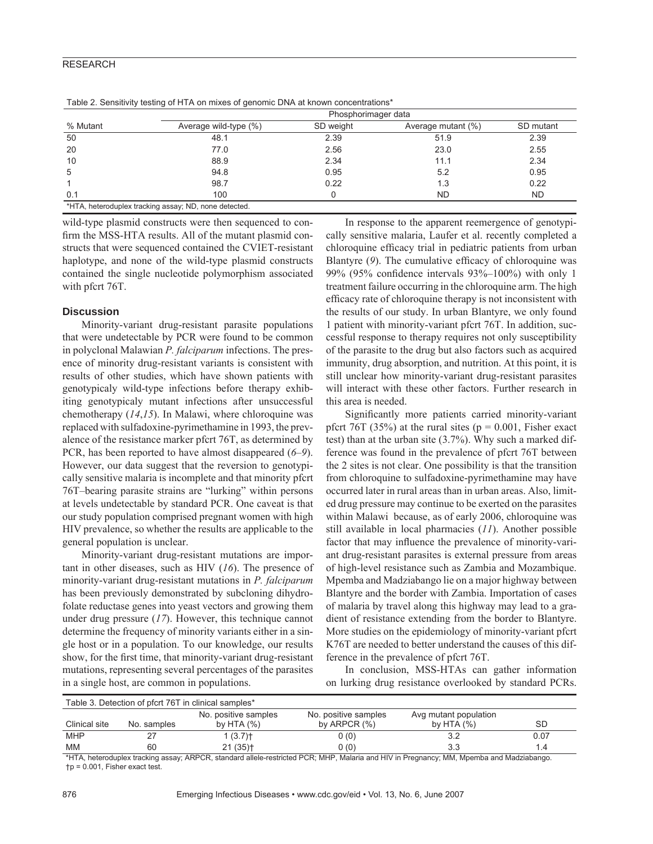#### RESEARCH

| % Mutant | Phosphorimager data                                   |           |                    |           |  |
|----------|-------------------------------------------------------|-----------|--------------------|-----------|--|
|          | Average wild-type (%)                                 | SD weight | Average mutant (%) | SD mutant |  |
| 50       | 48.1                                                  | 2.39      | 51.9               | 2.39      |  |
| 20       | 77.0                                                  | 2.56      | 23.0               | 2.55      |  |
| 10       | 88.9                                                  | 2.34      | 11.1               | 2.34      |  |
| 5        | 94.8                                                  | 0.95      | 5.2                | 0.95      |  |
|          | 98.7                                                  | 0.22      | 1.3                | 0.22      |  |
| 0.1      | 100                                                   |           | ND                 | <b>ND</b> |  |
|          | *HTA, heteroduplex tracking assay; ND, none detected. |           |                    |           |  |

Table 2. Sensitivity testing of HTA on mixes of genomic DNA at known concentrations\*

wild-type plasmid constructs were then sequenced to confirm the MSS-HTA results. All of the mutant plasmid constructs that were sequenced contained the CVIET-resistant haplotype, and none of the wild-type plasmid constructs contained the single nucleotide polymorphism associated with pfcrt 76T.

#### **Discussion**

Minority-variant drug-resistant parasite populations that were undetectable by PCR were found to be common in polyclonal Malawian *P. falciparum* infections. The presence of minority drug-resistant variants is consistent with results of other studies, which have shown patients with genotypicaly wild-type infections before therapy exhibiting genotypicaly mutant infections after unsuccessful chemotherapy (*14*,*15*). In Malawi, where chloroquine was replaced with sulfadoxine-pyrimethamine in 1993, the prevalence of the resistance marker pfcrt 76T, as determined by PCR, has been reported to have almost disappeared (*6*–*9*). However, our data suggest that the reversion to genotypically sensitive malaria is incomplete and that minority pfcrt 76T–bearing parasite strains are "lurking" within persons at levels undetectable by standard PCR. One caveat is that our study population comprised pregnant women with high HIV prevalence, so whether the results are applicable to the general population is unclear.

Minority-variant drug-resistant mutations are important in other diseases, such as HIV (*16*). The presence of minority-variant drug-resistant mutations in *P. falciparum* has been previously demonstrated by subcloning dihydrofolate reductase genes into yeast vectors and growing them under drug pressure (*17*). However, this technique cannot determine the frequency of minority variants either in a single host or in a population. To our knowledge, our results show, for the first time, that minority-variant drug-resistant mutations, representing several percentages of the parasites in a single host, are common in populations.

In response to the apparent reemergence of genotypically sensitive malaria, Laufer et al. recently completed a chloroquine efficacy trial in pediatric patients from urban Blantyre (9). The cumulative efficacy of chloroquine was 99% (95% confidence intervals  $93\%$ –100%) with only 1 treatment failure occurring in the chloroquine arm. The high efficacy rate of chloroquine therapy is not inconsistent with the results of our study. In urban Blantyre, we only found 1 patient with minority-variant pfcrt 76T. In addition, successful response to therapy requires not only susceptibility of the parasite to the drug but also factors such as acquired immunity, drug absorption, and nutrition. At this point, it is still unclear how minority-variant drug-resistant parasites will interact with these other factors. Further research in this area is needed.

Significantly more patients carried minority-variant pfcrt 76T (35%) at the rural sites ( $p = 0.001$ , Fisher exact test) than at the urban site (3.7%). Why such a marked difference was found in the prevalence of pfcrt 76T between the 2 sites is not clear. One possibility is that the transition from chloroquine to sulfadoxine-pyrimethamine may have occurred later in rural areas than in urban areas. Also, limited drug pressure may continue to be exerted on the parasites within Malawi because, as of early 2006, chloroquine was still available in local pharmacies (*11*). Another possible factor that may influence the prevalence of minority-variant drug-resistant parasites is external pressure from areas of high-level resistance such as Zambia and Mozambique. Mpemba and Madziabango lie on a major highway between Blantyre and the border with Zambia. Importation of cases of malaria by travel along this highway may lead to a gradient of resistance extending from the border to Blantyre. More studies on the epidemiology of minority-variant pfcrt K76T are needed to better understand the causes of this difference in the prevalence of pfcrt 76T.

In conclusion, MSS-HTAs can gather information on lurking drug resistance overlooked by standard PCRs.

| Table 3. Detection of pfcrt 76T in clinical samples* |             |                       |                      |                       |      |  |  |  |
|------------------------------------------------------|-------------|-----------------------|----------------------|-----------------------|------|--|--|--|
|                                                      |             | No. positive samples  | No. positive samples | Avg mutant population |      |  |  |  |
| Clinical site                                        | No. samples | by HTA $(\%)$         | by ARPCR $(% )$      | by HTA $(%)$          | SD   |  |  |  |
| <b>MHP</b>                                           | ۷           | 1(3.7)                | 0(0)                 | 3.2                   | 0.07 |  |  |  |
| МM                                                   | 60          | $21(35)$ <sup>+</sup> | 0 (0)                | 3.3                   | 1.4  |  |  |  |

\*HTA, heteroduplex tracking assay; ARPCR, standard allele-restricted PCR; MHP, Malaria and HIV in Pregnancy; MM, Mpemba and Madziabango. †p = 0.001, Fisher exact test.